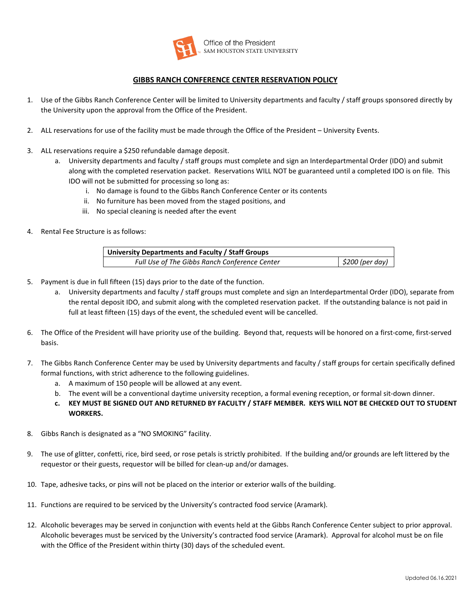

### **GIBBS RANCH CONFERENCE CENTER RESERVATION POLICY**

- 1. Use of the Gibbs Ranch Conference Center will be limited to University departments and faculty / staff groups sponsored directly by the University upon the approval from the Office of the President.
- 2. ALL reservations for use of the facility must be made through the Office of the President University Events.
- 3. ALL reservations require a \$250 refundable damage deposit.
	- a. University departments and faculty / staff groups must complete and sign an Interdepartmental Order (IDO) and submit along with the completed reservation packet. Reservations WILL NOT be guaranteed until a completed IDO is on file. This IDO will not be submitted for processing so long as:
		- i. No damage is found to the Gibbs Ranch Conference Center or its contents
		- ii. No furniture has been moved from the staged positions, and
		- iii. No special cleaning is needed after the event
- 4. Rental Fee Structure is as follows:

| University Departments and Faculty / Staff Groups |                 |
|---------------------------------------------------|-----------------|
| Full Use of The Gibbs Ranch Conference Center     | \$200 (per day) |

- 5. Payment is due in full fifteen (15) days prior to the date of the function.
	- a. University departments and faculty / staff groups must complete and sign an Interdepartmental Order (IDO), separate from the rental deposit IDO, and submit along with the completed reservation packet. If the outstanding balance is not paid in full at least fifteen (15) days of the event, the scheduled event will be cancelled.
- 6. The Office of the President will have priority use of the building. Beyond that, requests will be honored on a first-come, first-served basis.
- 7. The Gibbs Ranch Conference Center may be used by University departments and faculty / staff groups for certain specifically defined formal functions, with strict adherence to the following guidelines.
	- a. A maximum of 150 people will be allowed at any event.
	- b. The event will be a conventional daytime university reception, a formal evening reception, or formal sit-down dinner.
	- **c. KEY MUST BE SIGNED OUT AND RETURNED BY FACULTY / STAFF MEMBER. KEYS WILL NOT BE CHECKED OUT TO STUDENT WORKERS.**
- 8. Gibbs Ranch is designated as a "NO SMOKING" facility.
- 9. The use of glitter, confetti, rice, bird seed, or rose petals is strictly prohibited. If the building and/or grounds are left littered by the requestor or their guests, requestor will be billed for clean-up and/or damages.
- 10. Tape, adhesive tacks, or pins will not be placed on the interior or exterior walls of the building.
- 11. Functions are required to be serviced by the University's contracted food service (Aramark).
- 12. Alcoholic beverages may be served in conjunction with events held at the Gibbs Ranch Conference Center subject to prior approval. Alcoholic beverages must be serviced by the University's contracted food service (Aramark). Approval for alcohol must be on file with the Office of the President within thirty (30) days of the scheduled event.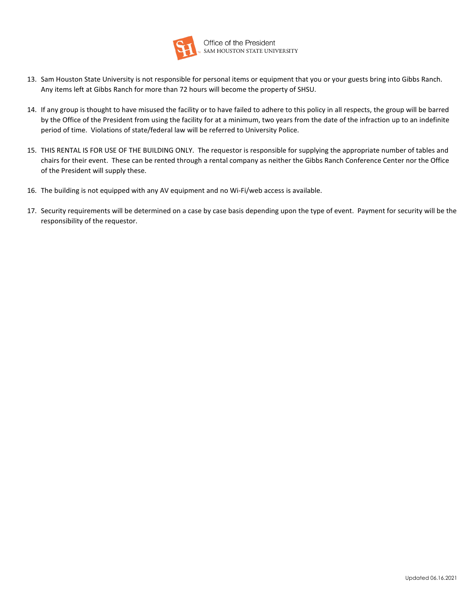

Office of the President<br>SAM HOUSTON STATE UNIVERSITY

- 13. Sam Houston State University is not responsible for personal items or equipment that you or your guests bring into Gibbs Ranch. Any items left at Gibbs Ranch for more than 72 hours will become the property of SHSU.
- 14. If any group is thought to have misused the facility or to have failed to adhere to this policy in all respects, the group will be barred by the Office of the President from using the facility for at a minimum, two years from the date of the infraction up to an indefinite period of time. Violations of state/federal law will be referred to University Police.
- 15. THIS RENTAL IS FOR USE OF THE BUILDING ONLY. The requestor is responsible for supplying the appropriate number of tables and chairs for their event. These can be rented through a rental company as neither the Gibbs Ranch Conference Center nor the Office of the President will supply these.
- 16. The building is not equipped with any AV equipment and no Wi-Fi/web access is available.
- 17. Security requirements will be determined on a case by case basis depending upon the type of event. Payment for security will be the responsibility of the requestor.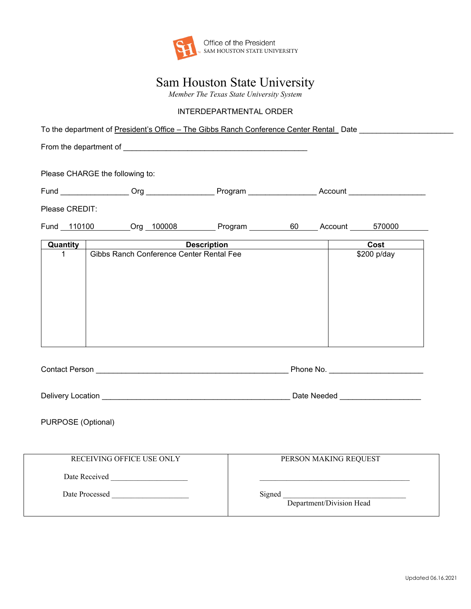

## Sam Houston State University

*Member The Texas State University System*

### INTERDEPARTMENTAL ORDER

To the department of President's Office – The Gibbs Ranch Conference Center Rental Date \_\_\_\_\_\_\_\_\_\_\_\_\_\_\_\_\_\_\_\_\_\_

From the department of \_\_\_\_\_\_\_\_\_\_\_\_\_\_\_\_\_\_\_\_\_\_\_\_\_\_\_\_\_\_\_\_\_\_\_\_\_\_\_\_\_\_\_

Please CHARGE the following to:

| $\sim$ $\sim$<br>Fund | )rn | P   | . |
|-----------------------|-----|-----|---|
|                       |     | . . |   |

Please CREDIT:

Fund 110100 Org 100008 Program 60 Account 570000

| Quantity | <b>Description</b>                       | Cost        |
|----------|------------------------------------------|-------------|
| 1        | Gibbs Ranch Conference Center Rental Fee | \$200 p/day |
|          |                                          |             |
|          |                                          |             |
|          |                                          |             |
|          |                                          |             |
|          |                                          |             |
|          |                                          |             |
|          |                                          |             |
|          |                                          |             |
|          |                                          |             |

| $\cap$ nnta.<br>.<br>Νó<br>sor |  |
|--------------------------------|--|
|--------------------------------|--|

| <b>Delivery Location</b> | Date Needed |  |
|--------------------------|-------------|--|
|                          |             |  |

PURPOSE (Optional)

| RECEIVING OFFICE USE ONLY | PERSON MAKING REQUEST              |
|---------------------------|------------------------------------|
| Date Received             |                                    |
| Date Processed            | Signed<br>Department/Division Head |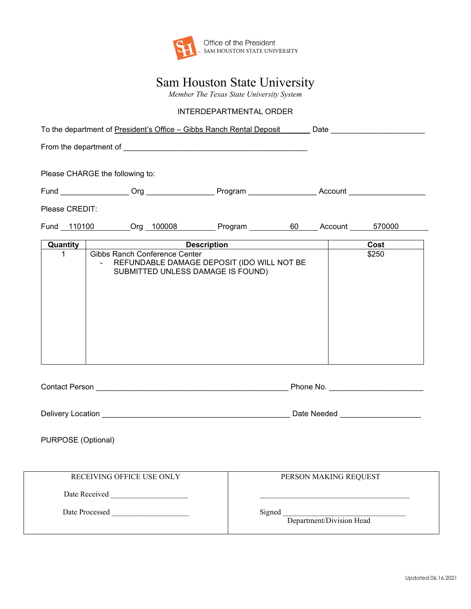

# Sam Houston State University

*Member The Texas State University System*

### INTERDEPARTMENTAL ORDER

|                    | Please CHARGE the following to:                    |                                                                                 |        |  |  |                          |
|--------------------|----------------------------------------------------|---------------------------------------------------------------------------------|--------|--|--|--------------------------|
|                    |                                                    |                                                                                 |        |  |  |                          |
| Please CREDIT:     |                                                    |                                                                                 |        |  |  |                          |
|                    |                                                    |                                                                                 |        |  |  |                          |
| <b>Quantity</b>    |                                                    | <u>Description Description</u>                                                  |        |  |  | $\overline{\text{Cost}}$ |
| $\mathbf 1$        | Gibbs Ranch Conference Center                      |                                                                                 |        |  |  | \$250                    |
|                    |                                                    | REFUNDABLE DAMAGE DEPOSIT (IDO WILL NOT BE<br>SUBMITTED UNLESS DAMAGE IS FOUND) |        |  |  |                          |
|                    |                                                    |                                                                                 |        |  |  |                          |
|                    |                                                    |                                                                                 |        |  |  |                          |
|                    |                                                    |                                                                                 |        |  |  |                          |
|                    |                                                    |                                                                                 |        |  |  |                          |
|                    |                                                    |                                                                                 |        |  |  |                          |
|                    |                                                    |                                                                                 |        |  |  |                          |
|                    |                                                    |                                                                                 |        |  |  |                          |
|                    |                                                    |                                                                                 |        |  |  |                          |
| PURPOSE (Optional) |                                                    |                                                                                 |        |  |  |                          |
|                    |                                                    |                                                                                 |        |  |  |                          |
|                    | PERSON MAKING REQUEST<br>RECEIVING OFFICE USE ONLY |                                                                                 |        |  |  |                          |
|                    |                                                    |                                                                                 |        |  |  |                          |
|                    | Date Processed                                     |                                                                                 | Signed |  |  |                          |
|                    | Department/Division Head                           |                                                                                 |        |  |  |                          |